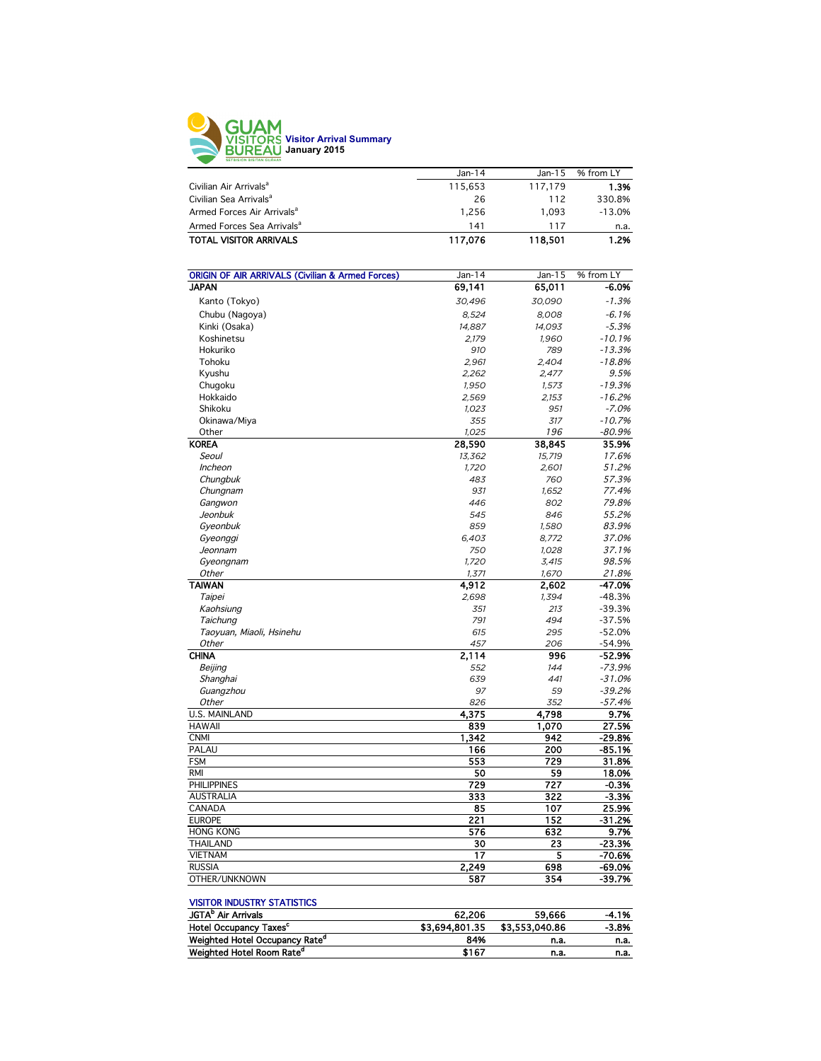

| $Jan-14$ | $Jan-15$ | % from LY |
|----------|----------|-----------|
| 115,653  | 117.179  | 1.3%      |
| 26       | 112      | 330.8%    |
| 1.256    | 1.093    | $-13.0%$  |
| 141      | 117      | n.a.      |
| 117.076  | 118,501  | 1.2%      |
|          |          |           |

| <b>ORIGIN OF AIR ARRIVALS (Civilian &amp; Armed Forces)</b> | Jan-14 | Jan-15 | % from LY |
|-------------------------------------------------------------|--------|--------|-----------|
| <b>JAPAN</b>                                                | 69,141 | 65,011 | -6.0%     |
| Kanto (Tokyo)                                               | 30,496 | 30,090 | $-1.3%$   |
| Chubu (Nagoya)                                              | 8,524  | 8,008  | $-6.1%$   |
| Kinki (Osaka)                                               | 14,887 | 14,093 | $-5.3%$   |
| Koshinetsu                                                  | 2,179  | 1,960  | $-10.1%$  |
| Hokuriko                                                    | 910    | 789    | $-13.3%$  |
| Tohoku                                                      | 2,961  | 2,404  | $-18.8%$  |
| Kyushu                                                      | 2,262  | 2,477  | 9.5%      |
| Chugoku                                                     | 1,950  | 1,573  | $-19.3%$  |
| Hokkaido                                                    | 2,569  | 2,153  | $-16.2%$  |
| Shikoku                                                     | 1,023  | 951    | $-7.0%$   |
| Okinawa/Miya                                                | 355    | 317    | $-10.7%$  |
| Other                                                       | 1,025  | 196    | $-80.9%$  |
| <b>KOREA</b>                                                | 28,590 | 38,845 | 35.9%     |
| Seoul                                                       | 13,362 | 15,719 | 17.6%     |
| Incheon                                                     | 1,720  | 2,601  | 51.2%     |
| Chungbuk                                                    | 483    | 760    | 57.3%     |
| Chungnam                                                    | 931    | 1,652  | 77.4%     |
| Gangwon                                                     | 446    | 802    | 79.8%     |
| Jeonbuk                                                     | 545    | 846    | 55.2%     |
| Gyeonbuk                                                    | 859    | 1,580  | 83.9%     |
| Gyeonggi                                                    | 6,403  | 8,772  | 37.0%     |
| Jeonnam                                                     | 750    | 1,028  | 37.1%     |
| Gyeongnam                                                   | 1,720  | 3,415  | 98.5%     |
| Other                                                       | 1,371  | 1,670  | 21.8%     |
| <b>TAIWAN</b>                                               | 4,912  | 2,602  | -47.0%    |
| Taipei                                                      | 2,698  | 1,394  | $-48.3%$  |
| Kaohsiung                                                   | 351    | 213    | $-39.3%$  |
| Taichung                                                    | 791    | 494    | $-37.5%$  |
| Taoyuan, Miaoli, Hsinehu                                    | 615    | 295    | $-52.0%$  |
| Other                                                       | 457    | 206    | $-54.9%$  |
| <b>CHINA</b>                                                | 2,114  | 996    | -52.9%    |
| Beijing                                                     | 552    | 144    | $-73.9%$  |
| Shanghai                                                    | 639    | 441    | $-31.0%$  |
| Guangzhou                                                   | 97     | 59     | $-39.2%$  |
| <b>Other</b>                                                | 826    | 352    | $-57.4%$  |
| <b>U.S. MAINLAND</b>                                        | 4,375  | 4,798  | 9.7%      |
| <b>HAWAII</b>                                               | 839    | 1,070  | 27.5%     |
| <b>CNMI</b>                                                 | 1,342  | 942    | $-29.8%$  |
| PALAU                                                       | 166    | 200    | $-85.1%$  |
| <b>FSM</b>                                                  | 553    | 729    | 31.8%     |
| <b>RMI</b>                                                  | 50     | 59     | 18.0%     |
| <b>PHILIPPINES</b>                                          | 729    | 727    | $-0.3%$   |
| <b>AUSTRALIA</b>                                            | 333    | 322    | $-3.3%$   |
| CANADA                                                      | 85     | 107    | 25.9%     |
| <b>EUROPE</b>                                               | 221    | 152    | $-31.2%$  |
| <b>HONG KONG</b>                                            | 576    | 632    | 9.7%      |
| <b>THAILAND</b>                                             | 30     | 23     | $-23.3%$  |
| <b>VIETNAM</b>                                              | 17     | 5      | $-70.6%$  |
| <b>RUSSIA</b>                                               | 2,249  | 698    | $-69.0%$  |
| OTHER/UNKNOWN                                               | 587    | 354    | $-39.7%$  |
|                                                             |        |        |           |

#### VISITOR INDUSTRY STATISTICS

| JGTA <sup>b</sup> Air Arrivals             | 62.206         | 59.666         | $-4.1%$ |
|--------------------------------------------|----------------|----------------|---------|
| <b>Hotel Occupancy Taxes<sup>c</sup></b>   | \$3.694.801.35 | \$3,553,040.86 | $-3.8%$ |
| Weighted Hotel Occupancy Rate <sup>a</sup> | 84%            | n.a.           | n.a.    |
| Weighted Hotel Room Rate <sup>d</sup>      | \$167          | n.a.           | n.a.    |
|                                            |                |                |         |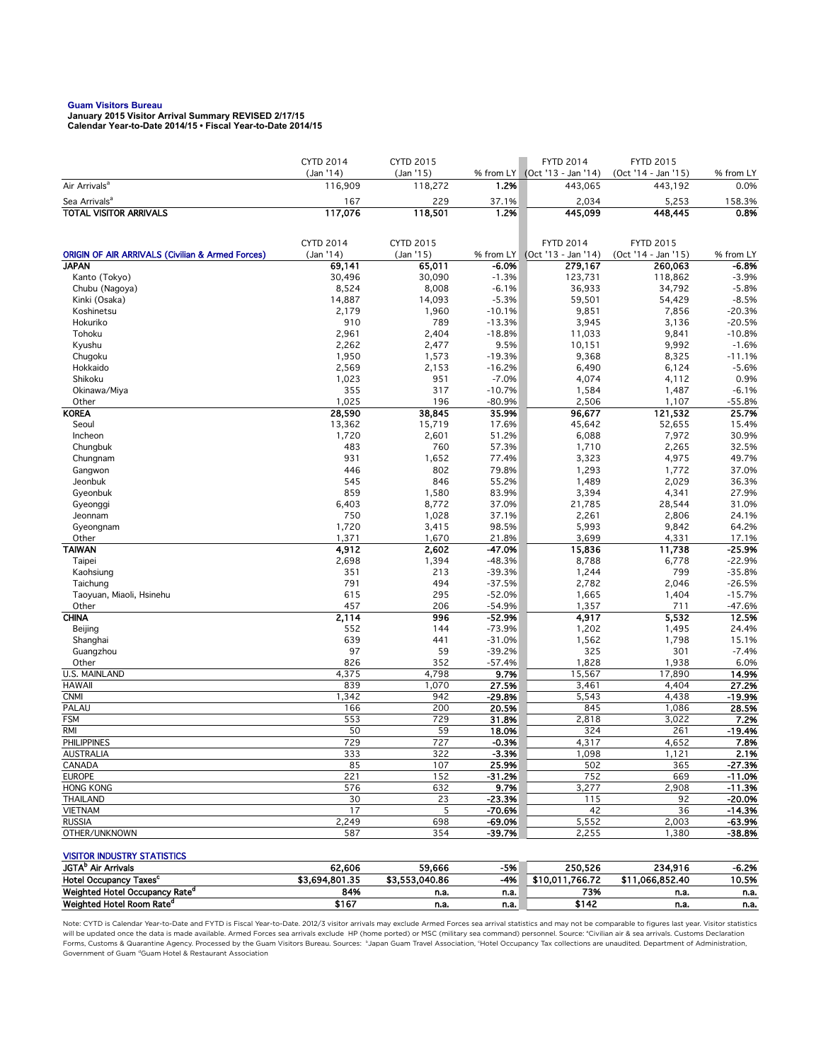**Guam Visitors Bureau January 2015 Visitor Arrival Summary REVISED 2/17/15 Calendar Year-to-Date 2014/15 • Fiscal Year-to-Date 2014/15** 

|                                                             | <b>CYTD 2014</b> | <b>CYTD 2015</b> |                     | <b>FYTD 2014</b>    | <b>FYTD 2015</b>    |                 |
|-------------------------------------------------------------|------------------|------------------|---------------------|---------------------|---------------------|-----------------|
|                                                             | (Jan '14)        | (Jan '15)        | % from LY           | (Oct '13 - Jan '14) | (Oct '14 - Jan '15) | % from LY       |
| Air Arrivals <sup>a</sup>                                   | 116,909          | 118,272          | 1.2%                | 443,065             | 443,192             | 0.0%            |
| Sea Arrivals <sup>a</sup>                                   | 167              | 229              | 37.1%               | 2,034               | 5,253               | 158.3%          |
| <b>TOTAL VISITOR ARRIVALS</b>                               | 117,076          | 118,501          | 1.2%                | 445,099             | 448,445             | 0.8%            |
|                                                             |                  |                  |                     |                     |                     |                 |
|                                                             | <b>CYTD 2014</b> | <b>CYTD 2015</b> |                     | <b>FYTD 2014</b>    | <b>FYTD 2015</b>    |                 |
| <b>ORIGIN OF AIR ARRIVALS (Civilian &amp; Armed Forces)</b> | (Jan '14)        | (Jan '15)        | % from LY           | (Oct '13 - Jan '14) | (Oct '14 - Jan '15) | % from LY       |
| <b>JAPAN</b>                                                | 69,141           | 65,011           | $-6.0%$             | 279,167             | 260,063             | -6.8%           |
| Kanto (Tokyo)                                               | 30,496           | 30,090           | $-1.3%$             | 123,731             | 118,862             | $-3.9%$         |
| Chubu (Nagoya)                                              | 8,524            | 8,008            | $-6.1%$             | 36,933              | 34,792              | $-5.8%$         |
| Kinki (Osaka)                                               | 14,887           | 14,093           | $-5.3%$             | 59,501              | 54,429              | $-8.5%$         |
| Koshinetsu                                                  | 2,179            | 1,960            | $-10.1%$            | 9,851               | 7,856               | $-20.3%$        |
| Hokuriko                                                    | 910              | 789              | $-13.3%$            | 3,945               | 3,136               | $-20.5%$        |
| Tohoku                                                      | 2,961            | 2,404            | $-18.8%$            | 11,033              | 9,841               | $-10.8%$        |
| Kyushu                                                      | 2,262            | 2,477            | 9.5%                | 10,151              | 9,992               | $-1.6%$         |
| Chugoku<br>Hokkaido                                         | 1,950            | 1,573            | $-19.3%$            | 9,368               | 8,325               | $-11.1%$        |
| Shikoku                                                     | 2,569<br>1,023   | 2,153<br>951     | $-16.2%$<br>$-7.0%$ | 6,490<br>4,074      | 6,124<br>4,112      | $-5.6%$<br>0.9% |
| Okinawa/Miya                                                | 355              | 317              | $-10.7%$            | 1,584               | 1,487               | $-6.1%$         |
| Other                                                       | 1,025            | 196              | $-80.9%$            | 2,506               | 1,107               | $-55.8%$        |
| <b>KOREA</b>                                                | 28,590           | 38,845           | 35.9%               | 96,677              | 121,532             | 25.7%           |
| Seoul                                                       | 13,362           | 15,719           | 17.6%               | 45,642              | 52,655              | 15.4%           |
| Incheon                                                     | 1,720            | 2,601            | 51.2%               | 6,088               | 7,972               | 30.9%           |
| Chungbuk                                                    | 483              | 760              | 57.3%               | 1,710               | 2,265               | 32.5%           |
| Chungnam                                                    | 931              | 1,652            | 77.4%               | 3,323               | 4,975               | 49.7%           |
| Gangwon                                                     | 446              | 802              | 79.8%               | 1,293               | 1,772               | 37.0%           |
| Jeonbuk                                                     | 545              | 846              | 55.2%               | 1,489               | 2,029               | 36.3%           |
| Gyeonbuk                                                    | 859              | 1,580            | 83.9%               | 3,394               | 4,341               | 27.9%           |
| Gyeonggi                                                    | 6,403            | 8,772            | 37.0%               | 21,785              | 28,544              | 31.0%           |
| Jeonnam                                                     | 750              | 1,028            | 37.1%               | 2,261               | 2,806               | 24.1%           |
| Gyeongnam                                                   | 1,720            | 3,415            | 98.5%               | 5,993               | 9,842               | 64.2%           |
| Other                                                       | 1,371            | 1,670            | 21.8%               | 3,699               | 4,331               | 17.1%           |
| <b>TAIWAN</b>                                               | 4,912            | 2,602            | -47.0%              | 15,836              | 11,738              | $-25.9%$        |
| Taipei                                                      | 2,698            | 1,394            | -48.3%              | 8,788               | 6,778               | $-22.9%$        |
| Kaohsiung                                                   | 351              | 213              | $-39.3%$            | 1,244               | 799                 | $-35.8%$        |
| Taichung                                                    | 791              | 494              | $-37.5%$            | 2,782               | 2,046               | $-26.5%$        |
| Taoyuan, Miaoli, Hsinehu                                    | 615              | 295              | $-52.0%$            | 1,665               | 1,404               | $-15.7%$        |
| Other                                                       | 457              | 206              | $-54.9%$            | 1,357               | 711                 | $-47.6%$        |
| <b>CHINA</b>                                                | 2,114            | 996              | $-52.9%$            | 4,917               | 5,532               | 12.5%           |
| Beijing                                                     | 552              | 144              | $-73.9%$            | 1,202               | 1,495               | 24.4%           |
| Shanghai                                                    | 639              | 441              | $-31.0%$            | 1,562               | 1,798               | 15.1%           |
| Guangzhou                                                   | 97               | 59               | $-39.2%$            | 325                 | 301                 | $-7.4%$         |
| Other                                                       | 826              | 352              | $-57.4%$            | 1,828               | 1,938               | 6.0%            |
| U.S. MAINLAND                                               | 4,375            | 4,798            | 9.7%                | 15,567              | 17,890              | 14.9%           |
| <b>HAWAII</b>                                               | 839              | 1,070            | 27.5%               | 3,461               | 4,404               | 27.2%           |
| <b>CNMI</b>                                                 | 1,342            | 942              | $-29.8%$            | 5,543               | 4,438               | $-19.9%$        |
| PALAU                                                       | 166              | 200              | 20.5%               | 845                 | 1,086               | 28.5%           |
| <b>FSM</b>                                                  | 553              | 729              | 31.8%               | 2,818               | 3,022               | 7.2%            |
| RMI                                                         | 50<br>729        | 59               | 18.0%               | 324                 | 261                 | $-19.4%$        |
| <b>PHILIPPINES</b>                                          |                  | 727              | $-0.3%$             | 4,317               | 4,652               | 7.8%            |
| AUSTRALIA<br>CANADA                                         | 333<br>85        | 322<br>107       | -3.3%<br>25.9%      | 1,098<br>502        | 1,121<br>365        | 2.1%<br>-27.3%  |
| <b>EUROPE</b>                                               | 221              | 152              | $-31.2%$            | 752                 | 669                 | $-11.0%$        |
| <b>HONG KONG</b>                                            | 576              | 632              | 9.7%                | 3,277               | 2,908               | $-11.3%$        |
| <b>THAILAND</b>                                             | 30               | 23               | $-23.3%$            | 115                 | 92                  | $-20.0%$        |
| <b>VIETNAM</b>                                              | 17               | 5                | -70.6%              | 42                  | 36                  | $-14.3%$        |
| <b>RUSSIA</b>                                               | 2,249            | 698              | $-69.0%$            | 5,552               | 2,003               | -63.9%          |
| OTHER/UNKNOWN                                               | 587              | 354              | -39.7%              | 2,255               | 1,380               | -38.8%          |
|                                                             |                  |                  |                     |                     |                     |                 |
| <b>VISITOR INDUSTRY STATISTICS</b>                          |                  |                  |                     |                     |                     |                 |
| <b>JGTA<sup>b</sup></b> Air Arrivals                        | 62,606           | 59,666           | $-5%$               | 250,526             | 234,916             | -6.2%           |
| Hotel Occupancy Taxes <sup>c</sup>                          | \$3,694,801.35   | \$3,553,040.86   | $-4%$               | \$10,011,766.72     | \$11,066,852.40     | 10.5%           |
| Weighted Hotel Occupancy Rate <sup>d</sup>                  | 84%              | n.a.             | n.a.                | 73%                 | n.a.                | n.a.            |

Note: CYTD is Calendar Year-to-Date and FYTD is Fiscal Year-to-Date. 2012/3 visitor arrivals may exclude Armed Forces sea arrival statistics and may not be comparable to figures last year. Visitor statistics will be updated once the data is made available. Armed Forces sea arrivals exclude HP (home ported) or MSC (military sea command) personnel. Source: °Civilian air & sea arrivals. Customs Declaration<br>Forms, Customs & Quaran Government of Guam dGuam Hotel & Restaurant Association

Weighted Hotel Occupancy Rate<sup>d</sup> 84% n.a. n.a. 73% n.a. n.a. Weighted Hotel Room Rate<sup>d</sup> \$167 n.a. n.a. \$142 n.a. n.a.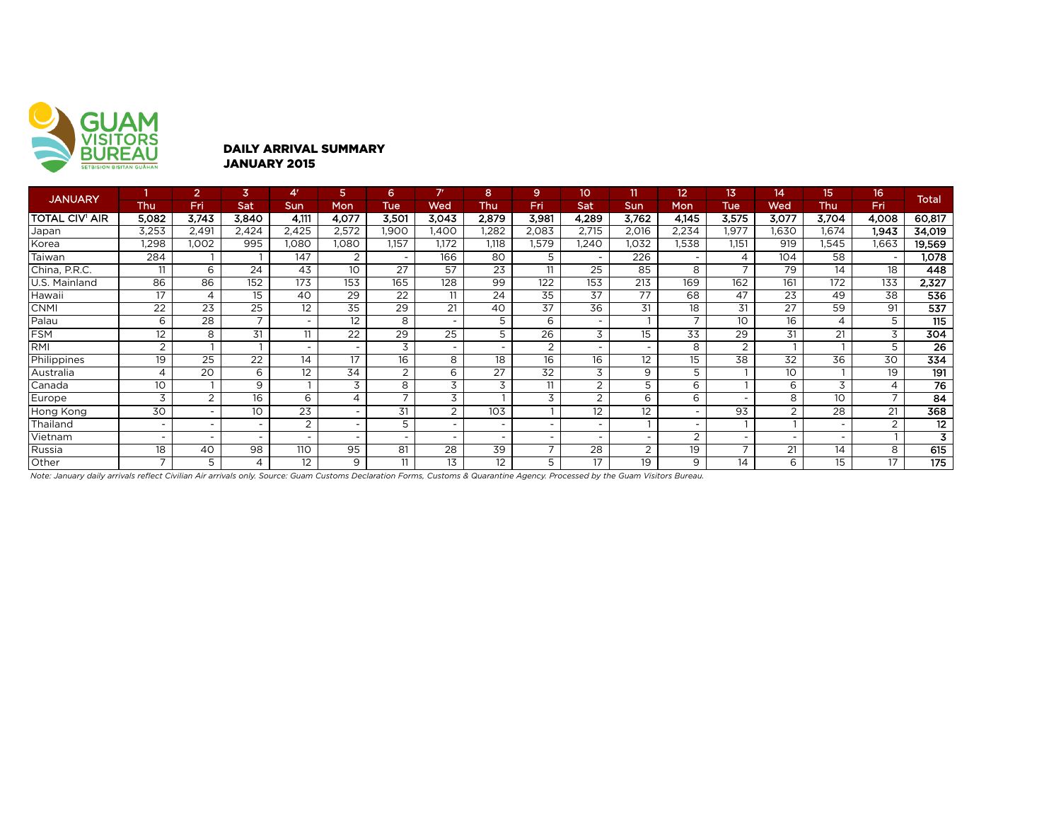

### DAILY ARRIVAL SUMMARY JANUARY 2015

| <b>JANUARY</b>        |                | $\overline{2}$ | 3                | 4'                       | 5                        | 6.                       | 7r                       | 8               | 9                | 10                       | 11             | 12                       | 13.                      | 14               | 15             | 16    | <b>Total</b>    |
|-----------------------|----------------|----------------|------------------|--------------------------|--------------------------|--------------------------|--------------------------|-----------------|------------------|--------------------------|----------------|--------------------------|--------------------------|------------------|----------------|-------|-----------------|
|                       | Thu            | Fri            | Sat              | <b>Sun</b>               | <b>Mon</b>               | <b>Tue</b>               | Wed                      | Thu             | Fri              | Sat                      | <b>Sun</b>     | Mon                      | Tue                      | Wed              | <b>Thu</b>     | Fri   |                 |
| <b>TOTAL CIV' AIR</b> | 5,082          | 3,743          | 3,840            | 4.111                    | 4,077                    | 3,501                    | 3,043                    | 2,879           | 3,981            | 4,289                    | 3,762          | 4,145                    | 3,575                    | 3,077            | 3,704          | 4,008 | 60,817          |
| Japan                 | 3,253          | 2,491          | 2,424            | 2,425                    | 2,572                    | 1.900                    | .400                     | 1,282           | 2,083            | 2,715                    | 2,016          | 2,234                    | 1,977                    | .630             | 1.674          | 1.943 | 34,019          |
| Korea                 | 1,298          | 1.002          | 995              | 1,080                    | 1,080                    | 1,157                    | 1,172                    | 1,118           | 1,579            | 1.240                    | 1.032          | .538                     | 1.151                    | 919              | 1,545          | 1.663 | 19,569          |
| Taiwan                | 284            |                |                  | 147                      | 2                        | $\overline{\phantom{a}}$ | 166                      | 80              | 5                |                          | 226            |                          | 4                        | $10\overline{4}$ | 58             |       | 1,078           |
| China, P.R.C.         | 11             | 6              | 24               | 43                       | 10                       | 27                       | 57                       | 23              | 11               | 25                       | 85             | 8                        |                          | 79               | 14             | 18    | 448             |
| U.S. Mainland         | 86             | 86             | $\overline{152}$ | 173                      | 153                      | 165                      | 128                      | 99              | $\overline{122}$ | 153                      | 213            | 169                      | $\overline{162}$         | 161              | 172            | 133   | 2,327           |
| Hawaii                | 17             | $\overline{4}$ | 15               | 40                       | 29                       | 22                       | 11                       | 24              | 35               | 37                       | 77             | 68                       | 47                       | 23               | 49             | 38    | 536             |
| <b>CNMI</b>           | 22             | 23             | 25               | $12 \overline{ }$        | 35                       | 29                       | 21                       | 40              | 37               | 36                       | 31             | 18                       | 31                       | 27               | 59             | 91    | 537             |
| Palau                 | 6              | 28             | $\overline{ }$   | $\overline{\phantom{0}}$ | 12                       | 8                        | $\sim$                   | 5               | 6                | $\overline{\phantom{a}}$ |                | $\overline{ }$           | 10                       | 16               | $\overline{4}$ | 5     | 115             |
| <b>FSM</b>            | 12             | 8              | 31               | 11                       | 22                       | 29                       | 25                       | 5               | 26               | 3                        | 15             | 33                       | 29                       | 31               | 21             | 3     | 304             |
| <b>RMI</b>            | 2              |                |                  | -                        |                          | 3                        | $\sim$                   |                 | 2                | ۰                        |                | 8                        | 2                        |                  |                | 5     | 26              |
| Philippines           | 19             | 25             | 22               | 14                       | 17                       | 16                       | 8                        | 18              | 16               | 16                       | 12             | 15                       | 38                       | $\overline{32}$  | 36             | 30    | 334             |
| Australia             | 4              | 20             | 6                | 12                       | 34                       | $\overline{2}$           | 6                        | $\overline{27}$ | 32               | 3                        | 9              | 5                        |                          | 10               |                | 19    | 191             |
| Canada                | 10             |                | 9                |                          | 3                        | 8                        | 3                        | 3               | 11               | $\overline{2}$           | 5              | 6                        |                          | 6                | 3              | 4     | $\overline{76}$ |
| Europe                | 3              | 2              | 16               | 6                        | $\overline{4}$           | $\overline{7}$           | 3                        |                 | 3                | $\overline{2}$           | 6              | 6                        |                          | 8                | 10             | ⇁     | 84              |
| Hong Kong             | 30             |                | 10               | $\overline{23}$          | $\overline{\phantom{a}}$ | 31                       | $\overline{2}$           | 103             |                  | 12                       | 12             |                          | 93                       | 2                | 28             | 21    | 368             |
| Thailand              | ۰              |                | -                | $\overline{2}$           | $\overline{\phantom{a}}$ | 5                        | $\overline{\phantom{a}}$ | $\sim$          | -                | -                        |                | $\overline{\phantom{0}}$ |                          |                  |                | 2     | 12              |
| Vietnam               | ۰              |                |                  | -                        | $\overline{\phantom{a}}$ | ٠                        | ۰                        |                 | ٠                | $\overline{\phantom{a}}$ |                | $\overline{2}$           | $\overline{\phantom{a}}$ |                  |                |       | 3               |
| Russia                | 18             | 40             | 98               | 110                      | 95                       | 81                       | 28                       | 39              | $\overline{ }$   | 28                       | $\overline{2}$ | 19                       | $\overline{ }$           | 21               | 14             | 8     | 615             |
| Other                 | $\overline{ }$ | 5              | 4                | 12                       | 9                        | 11                       | 13                       | 12              | 5                | 17                       | 19             | 9                        | 14                       | 6                | 15             | 17    | 175             |

*Note: January daily arrivals reflect Civilian Air arrivals only. Source: Guam Customs Declaration Forms, Customs & Quarantine Agency. Processed by the Guam Visitors Bureau.*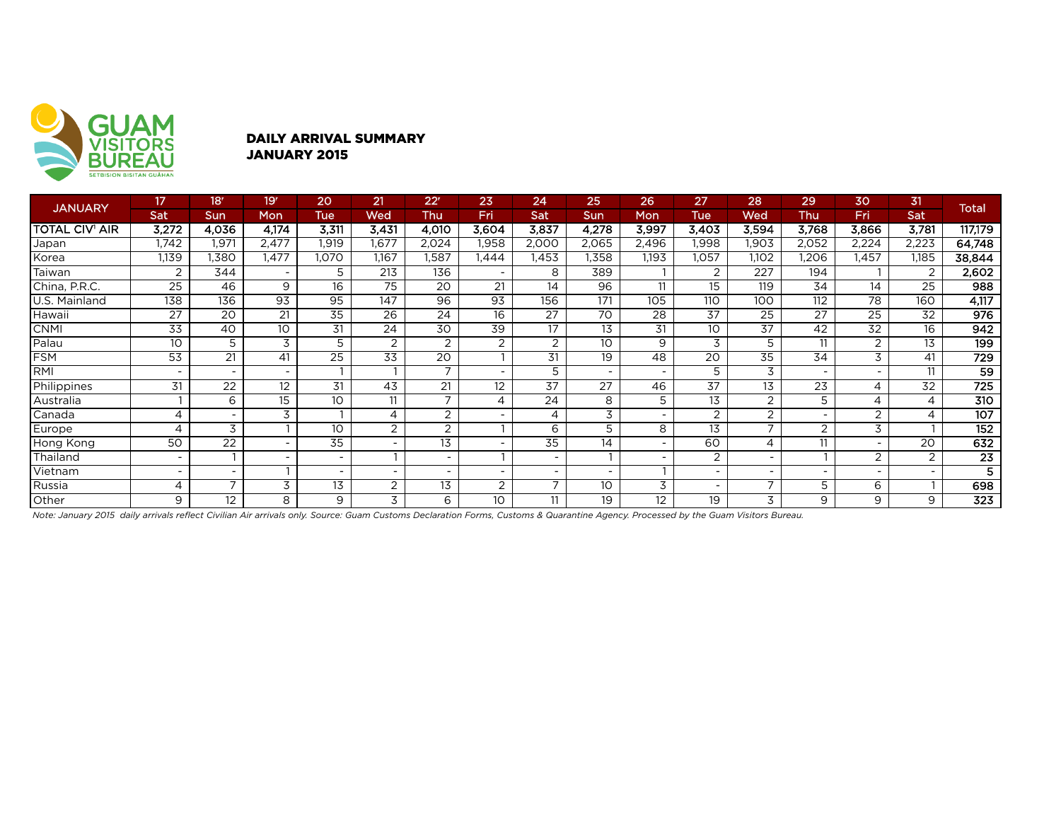

## DAILY ARRIVAL SUMMARY JANUARY 2015

| <b>JANUARY</b>        | 17                       | 18 <sup>r</sup> | 19'                      | 20         | 21                       | 22 <sup>r</sup>          | 23                       | 24                       | 25                       | 26                       | 27              | 28                       | 29    | 30    | 31                       | <b>Total</b>    |
|-----------------------|--------------------------|-----------------|--------------------------|------------|--------------------------|--------------------------|--------------------------|--------------------------|--------------------------|--------------------------|-----------------|--------------------------|-------|-------|--------------------------|-----------------|
|                       | Sat                      | <b>Sun</b>      | Mon                      | <b>Tue</b> | Wed                      | Thu                      | Fri                      | Sat                      | <b>Sun</b>               | Mon                      | <b>Tue</b>      | Wed                      | Thu   | Fri   | Sat                      |                 |
| <b>TOTAL CIV' AIR</b> | 3,272                    | 4.036           | 4,174                    | 3,311      | 3,431                    | 4,010                    | 3,604                    | 3,837                    | 4,278                    | 3,997                    | 3,403           | 3,594                    | 3,768 | 3,866 | 3,781                    | 117,179         |
| Japan                 | 1,742                    | 1,971           | 2,477                    | 1,919      | 1,677                    | 2,024                    | .958                     | 2,000                    | 2,065                    | 2,496                    | 1,998           | .903                     | 2,052 | 2,224 | 2,223                    | 64,748          |
| Korea                 | 1,139                    | .380            | ,477                     | ,070       | 1,167                    | I,587                    | ,444                     | l,453                    | 1,358                    | 1,193                    | 1,057           | 1,102                    | ,206  | ,457  | .185                     | 38,844          |
| Taiwan                | 2                        | 344             | $\overline{\phantom{0}}$ | 5          | 213                      | 136                      | $\overline{\phantom{0}}$ | 8                        | 389                      |                          | 2               | 227                      | 194   |       | 2                        | 2,602           |
| China, P.R.C.         | 25                       | 46              | 9                        | 16         | 75                       | 20                       | 21                       | 14                       | 96                       | 11                       | 15              | 119                      | 34    | 14    | 25                       | 988             |
| U.S. Mainland         | 138                      | 136             | 93                       | 95         | 147                      | 96                       | 93                       | 156                      | 171                      | 105                      | 110             | 100                      | 112   | 78    | 160                      | 4,117           |
| Hawaii                | 27                       | 20              | 21                       | 35         | $\overline{26}$          | $\overline{24}$          | 16                       | $\overline{27}$          | $\overline{70}$          | 28                       | $\overline{37}$ | 25                       | 27    | 25    | 32                       | 976             |
| <b>CNMI</b>           | 33                       | 40              | 10                       | 31         | 24                       | 30                       | 39                       | 17                       | 13                       | 31                       | 10              | 37                       | 42    | 32    | 16                       | 942             |
| Palau                 | 10                       | 5               | 3                        | 5          | 2                        | $\overline{2}$           | $\overline{2}$           | $\overline{2}$           | 10                       | 9                        | 3               | 5                        | 11    | 2     | 13                       | 199             |
| <b>FSM</b>            | 53                       | 21              | 41                       | 25         | 33                       | 20                       | $\mathbf{I}$             | 31                       | 19                       | 48                       | 20              | 35                       | 34    | 3     | 41                       | 729             |
| RMI                   | $\overline{\phantom{0}}$ |                 | $\overline{\phantom{a}}$ |            |                          | $\overline{7}$           | $\overline{\phantom{a}}$ | 5                        | $\overline{\phantom{a}}$ | $\overline{\phantom{a}}$ | 5               | 3                        |       |       | 11                       | 59              |
| Philippines           | 31                       | 22              | 12                       | 31         | 43                       | 21                       | 12                       | $\overline{37}$          | $\overline{27}$          | 46                       | $\overline{37}$ | 13                       | 23    | 4     | 32                       | 725             |
| Australia             |                          | 6               | 15                       | 10         | 11                       | $\overline{\phantom{0}}$ | 4                        | 24                       | 8                        | 5                        | 13              | 2                        | 5     |       | 4                        | 310             |
| Canada                | 4                        |                 | 3                        |            | 4                        | 2                        | $\overline{\phantom{a}}$ | 4                        | 3                        |                          | 2               | $\overline{2}$           |       | 2     | 4                        | 107             |
| Europe                | $\overline{4}$           | 3               |                          | 10         | $\overline{2}$           | $\overline{2}$           |                          | 6                        | 5                        | 8                        | $\overline{13}$ |                          | 2     | 3     |                          | 152             |
| Hong Kong             | 50                       | 22              |                          | 35         | $\overline{\phantom{a}}$ | 13                       |                          | 35                       | 14                       | $\overline{\phantom{a}}$ | 60              | 4                        | 11    |       | 20                       | 632             |
| Thailand              | $\overline{\phantom{0}}$ |                 | $\overline{\phantom{0}}$ | -          |                          | $\overline{\phantom{a}}$ |                          | $\overline{\phantom{a}}$ |                          | ٠                        | $\overline{2}$  | $\overline{\phantom{0}}$ |       | 2     | 2                        | $\overline{23}$ |
| Vietnam               | ٠                        |                 |                          | ۰.         | $\overline{\phantom{a}}$ | $\overline{\phantom{a}}$ | $\overline{\phantom{0}}$ | $\overline{\phantom{a}}$ | $\overline{\phantom{a}}$ |                          |                 |                          |       |       | $\overline{\phantom{0}}$ | 5               |
| Russia                | 4                        | ⇁               | 3                        | 13         | 2                        | 13                       | 2                        | $\overline{ }$           | 10                       | 3                        |                 |                          | 5     | 6     |                          | 698             |
| Other                 | 9                        | 12              | 8                        | 9          | 3                        | 6                        | 10 <sup>°</sup>          | 11                       | 19                       | 12                       | 19              | 3                        | 9     | 9     | 9                        | 323             |

*Note: January 2015 daily arrivals reflect Civilian Air arrivals only. Source: Guam Customs Declaration Forms, Customs & Quarantine Agency. Processed by the Guam Visitors Bureau.*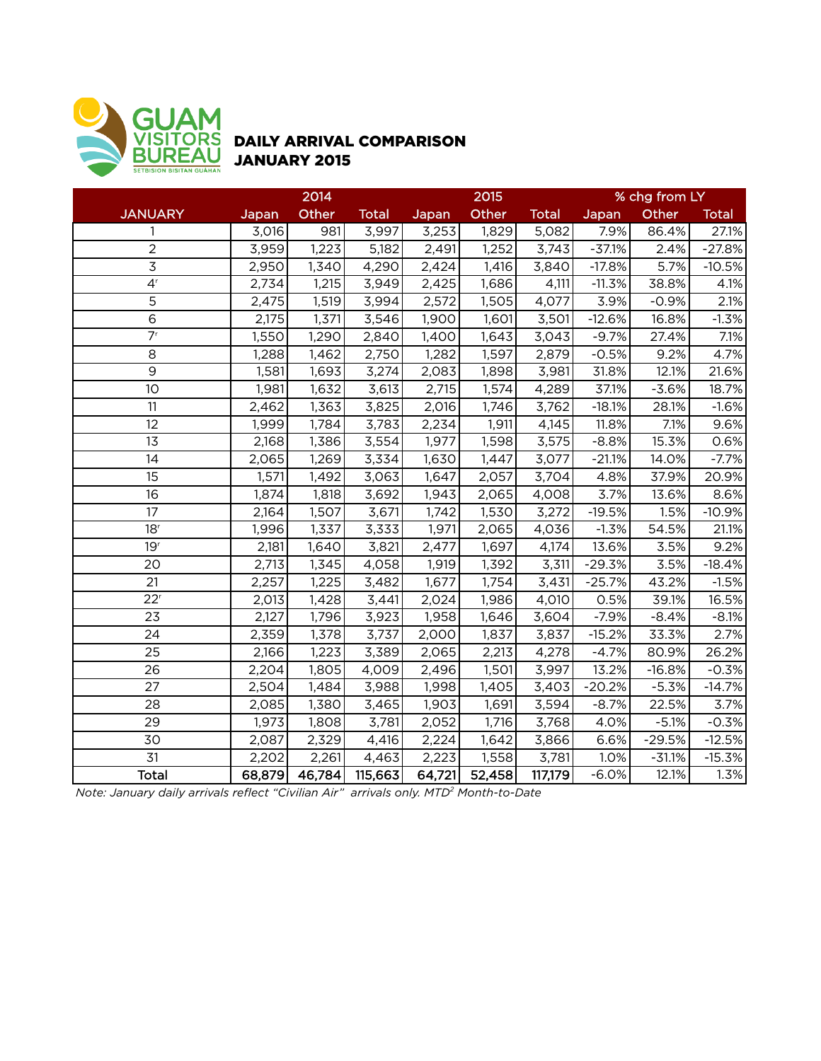

# DAILY ARRIVAL COMPARISON JANUARY 2015

|                             | 2014   |        |              |        | 2015   |              | % chg from LY |          |              |  |
|-----------------------------|--------|--------|--------------|--------|--------|--------------|---------------|----------|--------------|--|
| <b>JANUARY</b>              | Japan  | Other  | <b>Total</b> | Japan  | Other  | <b>Total</b> | Japan         | Other    | <b>Total</b> |  |
| 1                           | 3,016  | 981    | 3,997        | 3,253  | 1,829  | 5,082        | 7.9%          | 86.4%    | 27.1%        |  |
| $\overline{2}$              | 3,959  | 1,223  | 5,182        | 2,491  | 1,252  | 3,743        | $-37.1%$      | 2.4%     | $-27.8%$     |  |
| $\overline{3}$              | 2,950  | 1,340  | 4,290        | 2,424  | 1,416  | 3,840        | $-17.8%$      | 5.7%     | $-10.5%$     |  |
| 4 <sup>r</sup>              | 2,734  | 1,215  | 3,949        | 2,425  | 1,686  | 4,111        | $-11.3%$      | 38.8%    | 4.1%         |  |
| $\overline{5}$              | 2,475  | 1,519  | 3,994        | 2,572  | 1,505  | 4,077        | 3.9%          | $-0.9%$  | 2.1%         |  |
| $\overline{6}$              | 2,175  | 1,371  | 3,546        | 1,900  | 1,601  | 3,501        | $-12.6%$      | 16.8%    | $-1.3%$      |  |
| $\overline{7}$ <sup>r</sup> | 1,550  | 1,290  | 2,840        | 1,400  | 1,643  | 3,043        | $-9.7%$       | 27.4%    | 7.1%         |  |
| 8                           | 1,288  | 1,462  | 2,750        | 1,282  | 1,597  | 2,879        | $-0.5%$       | 9.2%     | 4.7%         |  |
| $\overline{9}$              | 1,581  | 1,693  | 3,274        | 2,083  | 1,898  | 3,981        | 31.8%         | 12.1%    | 21.6%        |  |
| 10                          | 1,981  | 1,632  | 3,613        | 2,715  | 1,574  | 4,289        | 37.1%         | $-3.6%$  | 18.7%        |  |
| 11                          | 2,462  | 1,363  | 3,825        | 2,016  | 1,746  | 3,762        | $-18.1%$      | 28.1%    | $-1.6%$      |  |
| 12                          | 1,999  | 1,784  | 3,783        | 2,234  | 1,911  | 4,145        | 11.8%         | 7.1%     | 9.6%         |  |
| 13                          | 2,168  | 1,386  | 3,554        | 1,977  | 1,598  | 3,575        | $-8.8%$       | 15.3%    | 0.6%         |  |
| 14                          | 2,065  | 1,269  | 3,334        | 1,630  | 1,447  | 3,077        | $-21.1%$      | 14.0%    | $-7.7%$      |  |
| 15                          | 1,571  | 1,492  | 3,063        | 1,647  | 2,057  | 3,704        | 4.8%          | 37.9%    | 20.9%        |  |
| 16                          | 1,874  | 1,818  | 3,692        | 1,943  | 2,065  | 4,008        | 3.7%          | 13.6%    | 8.6%         |  |
| 17                          | 2,164  | 1,507  | 3,671        | 1,742  | 1,530  | 3,272        | $-19.5%$      | 1.5%     | $-10.9%$     |  |
| 18 <sup>r</sup>             | 1,996  | 1,337  | 3,333        | 1,971  | 2,065  | 4,036        | $-1.3%$       | 54.5%    | 21.1%        |  |
| 19 <sup>r</sup>             | 2,181  | 1,640  | 3,821        | 2,477  | 1,697  | 4,174        | 13.6%         | 3.5%     | 9.2%         |  |
| 20                          | 2,713  | 1,345  | 4,058        | 1,919  | 1,392  | 3,311        | $-29.3%$      | 3.5%     | $-18.4%$     |  |
| 21                          | 2,257  | 1,225  | 3,482        | 1,677  | 1,754  | 3,431        | $-25.7%$      | 43.2%    | $-1.5%$      |  |
| 22 <sup>r</sup>             | 2,013  | 1,428  | 3,441        | 2,024  | 1,986  | 4,010        | 0.5%          | 39.1%    | 16.5%        |  |
| 23                          | 2,127  | 1,796  | 3,923        | 1,958  | 1,646  | 3,604        | $-7.9%$       | $-8.4%$  | $-8.1%$      |  |
| 24                          | 2,359  | 1,378  | 3,737        | 2,000  | 1,837  | 3,837        | $-15.2%$      | 33.3%    | 2.7%         |  |
| 25                          | 2,166  | 1,223  | 3,389        | 2,065  | 2,213  | 4,278        | $-4.7%$       | 80.9%    | 26.2%        |  |
| 26                          | 2,204  | 1,805  | 4,009        | 2,496  | 1,501  | 3,997        | 13.2%         | $-16.8%$ | $-0.3%$      |  |
| 27                          | 2,504  | 1,484  | 3,988        | 1,998  | 1,405  | 3,403        | $-20.2%$      | $-5.3%$  | $-14.7%$     |  |
| 28                          | 2,085  | 1,380  | 3,465        | 1,903  | 1,691  | 3,594        | $-8.7%$       | 22.5%    | 3.7%         |  |
| 29                          | 1,973  | 1,808  | 3,781        | 2,052  | 1,716  | 3,768        | 4.0%          | $-5.1%$  | $-0.3%$      |  |
| 30                          | 2,087  | 2,329  | 4,416        | 2,224  | 1,642  | 3,866        | 6.6%          | $-29.5%$ | $-12.5%$     |  |
| 31                          | 2,202  | 2,261  | 4,463        | 2,223  | 1,558  | 3,781        | 1.0%          | $-31.1%$ | $-15.3%$     |  |
| <b>Total</b>                | 68,879 | 46,784 | 115,663      | 64,721 | 52,458 | 117,179      | $-6.0%$       | 12.1%    | 1.3%         |  |

*Note: January daily arrivals reflect "Civilian Air" arrivals only. MTD2 Month-to-Date*